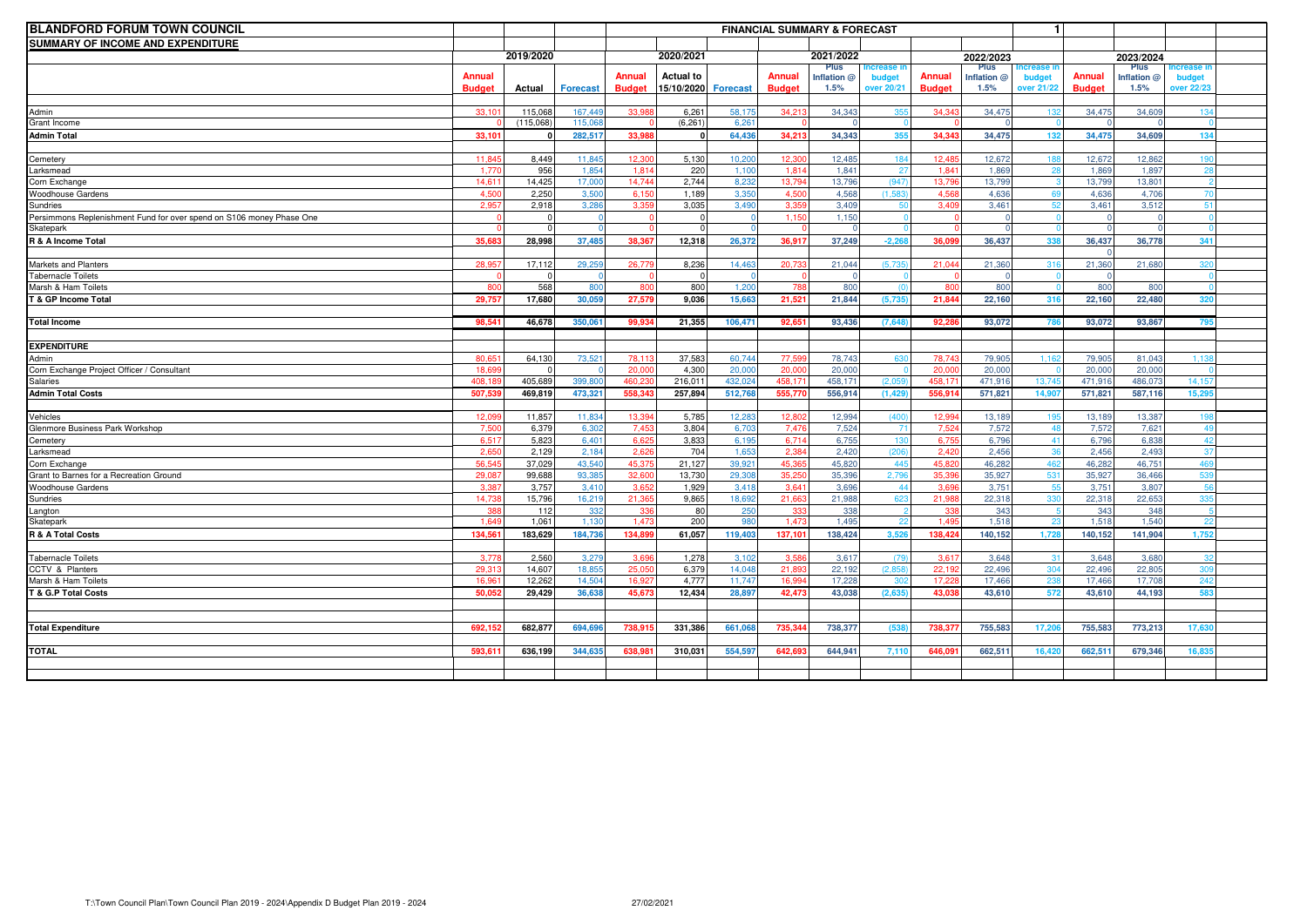| <b>BLANDFORD FORUM TOWN COUNCIL</b>                                  |               |                 |                 | $\mathbf{1}$<br><b>FINANCIAL SUMMARY &amp; FORECAST</b> |                  |                 |                   |                    |              |               |                 |                   |                 |                 |            |  |
|----------------------------------------------------------------------|---------------|-----------------|-----------------|---------------------------------------------------------|------------------|-----------------|-------------------|--------------------|--------------|---------------|-----------------|-------------------|-----------------|-----------------|------------|--|
| SUMMARY OF INCOME AND EXPENDITURE                                    |               |                 |                 |                                                         |                  |                 |                   |                    |              |               |                 |                   |                 |                 |            |  |
|                                                                      | 2019/2020     |                 |                 | 2020/2021                                               |                  |                 | 2021/2022         |                    | 2022/2023    |               |                 | 2023/2024         |                 |                 |            |  |
|                                                                      |               |                 |                 |                                                         |                  |                 |                   | Plus               | crease       |               | Plus            |                   |                 | Plus            |            |  |
|                                                                      | <b>Annual</b> |                 |                 | Annual                                                  | <b>Actual to</b> |                 | Annual            | Inflation @        | budget       | Annual        | Inflation @     | budget            | Annual          | Inflation @     | budget     |  |
|                                                                      | <b>Budget</b> | Actual          | <b>Forecast</b> | <b>Budget</b>                                           | 15/10/2020       | <b>Forecast</b> | <b>Budget</b>     | 1.5%               | over 20/21   | <b>Budget</b> | 1.5%            | <b>over 21/22</b> | <b>Budget</b>   | 1.5%            | over 22/23 |  |
| Admin                                                                | 33.10         | 115,068         | 167,449         | 33.98                                                   | 6,261            | 58,17           | 34.21             | 34,343             |              | 34.34         | 34,47           |                   | 34,47           | 34,609          |            |  |
| Grant Income                                                         |               | (115,068)       | 115.06          |                                                         | (6, 261)         | 6.26            |                   |                    |              |               |                 |                   |                 |                 |            |  |
| <b>Admin Total</b>                                                   | 33.10         |                 | 282,517         | 33.98                                                   |                  | 64.436          | 34.213            | 34.343             | 355          | 34.34         | 34,475          |                   | 34,475          | 34.609          | 134        |  |
|                                                                      |               |                 |                 |                                                         |                  |                 |                   |                    |              |               |                 |                   |                 |                 |            |  |
| Cemetery                                                             | 11.84         | 8,449           | 11.845          | 12.30                                                   | 5,130            | 10,200          | 12.30             | 12.485             | 184          | 12.48         | 12.672          |                   | 12,672          | 12,862          |            |  |
| .arksmead                                                            | 1.77          | 956             | 1.85            | 1.81                                                    | 220              | 1.10(           | 1,81              | 1.84               | 27           | 1.84          | 1,869           |                   | 1,86            | 1.897           |            |  |
| Corn Exchange                                                        | 14.61         | 14,425          | 17,000          | 14,74                                                   | 2,744            | 8,232           | 13.794            | 13.796             | (947)        | 13.79         | 13,799          |                   | 13,79           | 13,801          |            |  |
| <b>Noodhouse Gardens</b>                                             | 4,50          | 2,250           | 3,500           | 6.15                                                    | 1,189            | 3.350           | 4,50              | 4,568              | (1.583)      | 4,56          | 4,636           |                   | 4,636           | 4.706           |            |  |
| <b>Sundries</b>                                                      | 2,95          | 2,918           | 3,286           | 3.35                                                    | 3,035            | 3,490           | 3,35              | 3,409              | 50           | 3,40          | 3,46            |                   | 3,461           | 3,512           |            |  |
| Persimmons Replenishment Fund for over spend on S106 money Phase One |               | $\Omega$        |                 |                                                         |                  |                 | 1.15              | 1.150              |              |               |                 |                   |                 |                 |            |  |
| <b>Skatepark</b>                                                     |               | $\Omega$        |                 |                                                         |                  |                 |                   |                    |              |               |                 |                   |                 |                 |            |  |
| R & A Income Total                                                   | 35.68         | 28.998          | 37,485          | 38.367                                                  | 12,318           | 26.372          | 36.917            | 37.249             | $-2.26$      | 36.09         | 36,437          |                   | 36.437          | 36,778          | 341        |  |
|                                                                      |               |                 |                 |                                                         |                  |                 |                   |                    |              |               |                 |                   |                 |                 |            |  |
| Markets and Planters                                                 | 28.95         | 17,112          | 29,259          | 26,779                                                  | 8,236            | 14,463          | 20.73             | 21,044             | (5.735)      | 21.04         | 21,360          | -31               | 21,360          | 21,680          |            |  |
| <b>Fabernacle Toilets</b>                                            |               | $\Omega$        |                 |                                                         |                  |                 |                   |                    |              |               |                 |                   |                 |                 |            |  |
| Marsh & Ham Toilets                                                  |               | 568             | 80              | 80                                                      | 800              | 1,20            |                   | 80                 |              | 8ſ            | 800             |                   | 800             | 800             |            |  |
| & GP Income Total                                                    | 29,75         | 17,680          | 30,059          | 27.57                                                   | 9,036            | 15,663          | 21,521            | 21,844             | (5.735)      | 21.84         | 22,160          |                   | 22,160          | 22,480          |            |  |
|                                                                      |               |                 |                 |                                                         |                  |                 |                   |                    |              |               |                 |                   |                 |                 |            |  |
| <b>Total Income</b>                                                  | 98.54         | 46.678          | 350.061         | 99.93                                                   | 21.355           | 106.471         | 92.651            | 93.436             | (7.648)      | 92.2          | 93.072          |                   | 93.072          | 93.867          |            |  |
|                                                                      |               |                 |                 |                                                         |                  |                 |                   |                    |              |               |                 |                   |                 |                 |            |  |
| <b>EXPENDITURE</b>                                                   |               |                 |                 |                                                         |                  |                 |                   |                    |              |               |                 |                   |                 |                 |            |  |
| Admin                                                                | 80.65         | 64,130          | 73,52           | 78.1                                                    | 37,583           | 60,744          | 77,59             | 78,743             | 63           | 78.74         | 79,90           | 1.1               | 79,90           | 81,043          |            |  |
| Corn Exchange Project Officer / Consultant                           | 18.6          |                 |                 | 20.00                                                   | 4.300            | 20.00           | 20.00             | 20.00              |              | 20.00         | 20,00           |                   | 20.00           | 20,000          |            |  |
| Salaries                                                             | 408.          | 405,689         | 399,80          | 460.2                                                   | 216,011          | 432.02          | 458.17            | 458.17             | (2.05)       | 458.17        | 471,91          | 13,74             | 471,91          | 486,07          | 14,15      |  |
| <b>Admin Total Costs</b>                                             | 507,53        | 469,819         | 473,321         | 558,34                                                  | 257,894          | 512,76          | 555,77            | 556,91             | (1, 429)     | 556.91        | 571,821         | 14,9              | 571,82          | 587,116         | 15.29      |  |
|                                                                      |               |                 |                 |                                                         |                  |                 |                   |                    |              |               |                 |                   |                 |                 |            |  |
| Vehicles                                                             | 12.0          | 11.857          | 11,83           | 13.39                                                   | 5,785            | 12.28           | 12.80             | 12.99 <sup>4</sup> | (400)        | 12.99         | 13,18           | $\rightarrow$     | 13,18           | 13,387          |            |  |
| Glenmore Business Park Workshop                                      | 7.5(          | 6,379           | 6.30<br>6.40    | 7.45<br>6.62                                            | 3,804            | 6.70            | 7.47              | 7.524              |              | 7.52          | 7,572           |                   | 7,57            | 7.621<br>6.838  |            |  |
| Cemetery                                                             | 6.51          | 5,823           |                 |                                                         | 3,833            | 6.195           | 6.714             | 6.755              |              | 6.75          | 6.796           |                   | 6.796           |                 |            |  |
| .arksmead                                                            | 2.65<br>56.54 | 2,129<br>37,029 | 2,184<br>43,540 | 2.62<br>45.37                                           | 704<br>21,127    | 1.653<br>39,92  | 2.384<br>45.36    | 2,420<br>45.82     | (206)<br>445 | 2.42<br>45.82 | 2,456<br>46,282 |                   | 2.456<br>46,282 | 2,493<br>46,751 |            |  |
| Corn Exchange<br>Grant to Barnes for a Recreation Ground             | 29.08         | 99,688          | 93.385          | 32.60                                                   | 13,730           | 29.30           | 35.25             | 35,39              | 2,79         | 35.39         | 35.927          |                   | 35.927          | 36,466          |            |  |
| Woodhouse Gardens                                                    | 3.38          | 3,757           | 3,41            | 3.65                                                    | 1,929            | 3.41            | 3.64              | 3.69               | 44           | 3.69          | 3,75'           |                   | 3,75'           | 3,807           |            |  |
| Sundries                                                             | 14,73         | 15,796          | 16,219          | 21,36                                                   | 9,865            | 18,692          | 21,66             | 21,988             | 623          | 21,98         | 22,318          |                   | 22,318          | 22,653          |            |  |
| angton                                                               |               | 112             | 332             |                                                         | 80               | 250             | 33 <sup>°</sup>   | 338                |              | 33            | 343             |                   | 343             | 348             |            |  |
| Skatepark                                                            | 1.64          | 1.061           | 1.130           | 1.47                                                    | 200              | 980             | 1.47 <sup>2</sup> | 1.495              | 22           | 1.49          | 1.518           |                   | 1.518           | 1.540           |            |  |
| R & A Total Costs                                                    | 134.56        | 183,629         | 184,736         | 134.89                                                  | 61,057           | 119,403         | 137,101           | 138,424            | 3.526        | 138.42        | 140,152         | 1.72              | 140,152         | 141,904         | 1.75       |  |
|                                                                      |               |                 |                 |                                                         |                  |                 |                   |                    |              |               |                 |                   |                 |                 |            |  |
| <b>Fabernacle Toilets</b>                                            | 3.77          | 2,560           | 3,27            | 3.69                                                    | 1,278            | 3.10            | 3.58              | 3.61               | (79)         | 3.61          | 3.648           |                   | 3.648           | 3.680           |            |  |
| CCTV & Planters                                                      | 29.3          | 14,607          | 18,85           | 25,05                                                   | 6,379            | 14,04           | 21,89             | 22,192             | (2,858)      | 22,19         | 22,49           |                   | 22,496          | 22,805          |            |  |
| Marsh & Ham Toilets                                                  | 16,96         | 12,262          | 14,50           | 16.92                                                   | 4,777            | 11,747          | 16.99             | 17,22              |              | 17,22         | 17,46           |                   | 17,46           | 17,708          |            |  |
| <b>6. G.P Total Costs</b>                                            | 50.05         | 29,429          | 36,638          | 45,67                                                   | 12,434           | 28,897          | 42.473            | 43.038             | (2,63)       | 43.03         | 43,610          | 57                | 43,610          | 44,193          | 58         |  |
|                                                                      |               |                 |                 |                                                         |                  |                 |                   |                    |              |               |                 |                   |                 |                 |            |  |
|                                                                      |               |                 |                 |                                                         |                  |                 |                   |                    |              |               |                 |                   |                 |                 |            |  |
| <b>Total Expenditure</b>                                             | 692.15        | 682,877         | 694,696         | 738.91                                                  | 331,386          | 661,06          | 735.344           | 738,377            | (538)        | 738.37        | 755,583         | 17,2              | 755,583         | 773,213         | 17.63      |  |
|                                                                      |               |                 |                 |                                                         |                  |                 |                   |                    |              |               |                 |                   |                 |                 |            |  |
| <b>TOTAL</b>                                                         | 593.61        | 636,199         | 344.63          | 638.98                                                  | 310.031          | 554.597         | 642.69            | 644.941            | 7.11         | 646.09        | 662,511         | 16.42             | 662.51          | 679,346         | 16.83      |  |
|                                                                      |               |                 |                 |                                                         |                  |                 |                   |                    |              |               |                 |                   |                 |                 |            |  |
|                                                                      |               |                 |                 |                                                         |                  |                 |                   |                    |              |               |                 |                   |                 |                 |            |  |